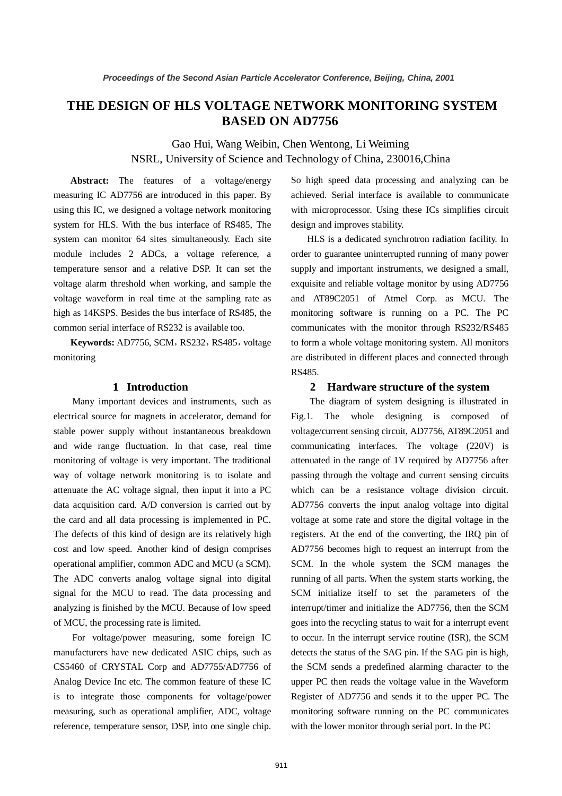# **THE DESIGN OF HLS VOLTAGE NETWORK MONITORING SYSTEM BASED ON AD7756**

Gao Hui, Wang Weibin, Chen Wentong, Li Weiming NSRL, University of Science and Technology of China, 230016,China

**Abstract:** The features of a voltage/energy measuring IC AD7756 are introduced in this paper. By using this IC, we designed a voltage network monitoring system for HLS. With the bus interface of RS485, The system can monitor 64 sites simultaneously. Each site module includes 2 ADCs, a voltage reference, a temperature sensor and a relative DSP. It can set the voltage alarm threshold when working, and sample the voltage waveform in real time at the sampling rate as high as 14KSPS. Besides the bus interface of RS485, the common serial interface of RS232 is available too.

Keywords: AD7756, SCM, RS232, RS485, voltage monitoring

## **1 Introduction**

Many important devices and instruments, such as electrical source for magnets in accelerator, demand for stable power supply without instantaneous breakdown and wide range fluctuation. In that case, real time monitoring of voltage is very important. The traditional way of voltage network monitoring is to isolate and attenuate the AC voltage signal, then input it into a PC data acquisition card. A/D conversion is carried out by the card and all data processing is implemented in PC. The defects of this kind of design are its relatively high cost and low speed. Another kind of design comprises operational amplifier, common ADC and MCU (a SCM). The ADC converts analog voltage signal into digital signal for the MCU to read. The data processing and analyzing is finished by the MCU. Because of low speed of MCU, the processing rate is limited.

For voltage/power measuring, some foreign IC manufacturers have new dedicated ASIC chips, such as CS5460 of CRYSTAL Corp and AD7755/AD7756 of Analog Device Inc etc. The common feature of these IC is to integrate those components for voltage/power measuring, such as operational amplifier, ADC, voltage reference, temperature sensor, DSP, into one single chip.

So high speed data processing and analyzing can be achieved. Serial interface is available to communicate with microprocessor. Using these ICs simplifies circuit design and improves stability.

HLS is a dedicated synchrotron radiation facility. In order to guarantee uninterrupted running of many power supply and important instruments, we designed a small, exquisite and reliable voltage monitor by using AD7756 and AT89C2051 of Atmel Corp. as MCU. The monitoring software is running on a PC. The PC communicates with the monitor through RS232/RS485 to form a whole voltage monitoring system. All monitors are distributed in different places and connected through RS485.

### **2 Hardware structure of the system**

The diagram of system designing is illustrated in Fig.1. The whole designing is composed of voltage/current sensing circuit, AD7756, AT89C2051 and communicating interfaces. The voltage (220V) is attenuated in the range of 1V required by AD7756 after passing through the voltage and current sensing circuits which can be a resistance voltage division circuit. AD7756 converts the input analog voltage into digital voltage at some rate and store the digital voltage in the registers. At the end of the converting, the IRQ pin of AD7756 becomes high to request an interrupt from the SCM. In the whole system the SCM manages the running of all parts. When the system starts working, the SCM initialize itself to set the parameters of the interrupt/timer and initialize the AD7756, then the SCM goes into the recycling status to wait for a interrupt event to occur. In the interrupt service routine (ISR), the SCM detects the status of the SAG pin. If the SAG pin is high, the SCM sends a predefined alarming character to the upper PC then reads the voltage value in the Waveform Register of AD7756 and sends it to the upper PC. The monitoring software running on the PC communicates with the lower monitor through serial port. In the PC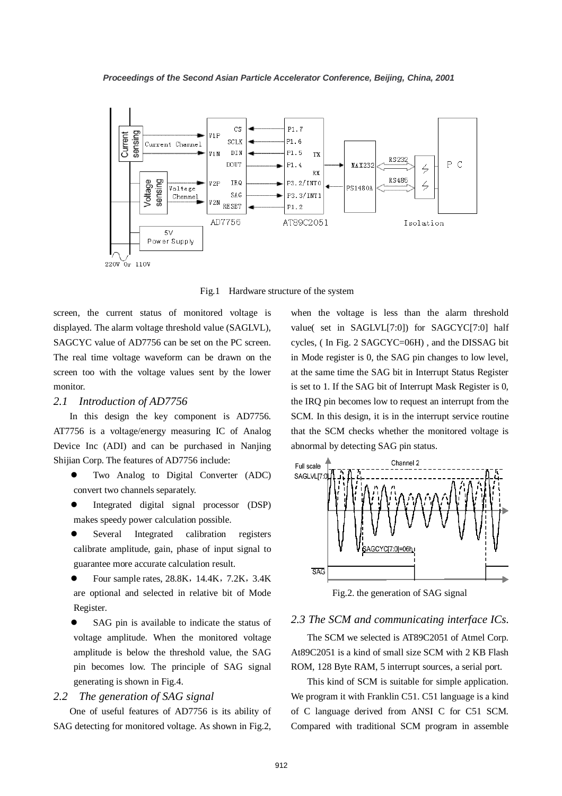

Fig.1 Hardware structure of the system

screen, the current status of monitored voltage is displayed. The alarm voltage threshold value (SAGLVL), SAGCYC value of AD7756 can be set on the PC screen. The real time voltage waveform can be drawn on the screen too with the voltage values sent by the lower monitor.

#### *2.1 Introduction of AD7756*

In this design the key component is AD7756. AT7756 is a voltage/energy measuring IC of Analog Device Inc (ADI) and can be purchased in Nanjing Shijian Corp. The features of AD7756 include:

- Two Analog to Digital Converter (ADC) convert two channels separately.
- Integrated digital signal processor (DSP) makes speedy power calculation possible.
- Several Integrated calibration registers calibrate amplitude, gain, phase of input signal to guarantee more accurate calculation result.
- Four sample rates, 28.8K, 14.4K, 7.2K, 3.4K are optional and selected in relative bit of Mode Register.
- SAG pin is available to indicate the status of voltage amplitude. When the monitored voltage amplitude is below the threshold value, the SAG pin becomes low. The principle of SAG signal generating is shown in Fig.4.

## *2.2 The generation of SAG signal*

One of useful features of AD7756 is its ability of SAG detecting for monitored voltage. As shown in Fig.2,

when the voltage is less than the alarm threshold value( set in SAGLVL[7:0]) for SAGCYC[7:0] half cycles, ( In Fig. 2 SAGCYC=06H) , and the DISSAG bit in Mode register is 0, the SAG pin changes to low level, at the same time the SAG bit in Interrupt Status Register is set to 1. If the SAG bit of Interrupt Mask Register is 0, the IRQ pin becomes low to request an interrupt from the SCM. In this design, it is in the interrupt service routine that the SCM checks whether the monitored voltage is abnormal by detecting SAG pin status.



Fig.2. the generation of SAG signal

#### *2.3 The SCM and communicating interface ICs.*

The SCM we selected is AT89C2051 of Atmel Corp. At89C2051 is a kind of small size SCM with 2 KB Flash ROM, 128 Byte RAM, 5 interrupt sources, a serial port.

This kind of SCM is suitable for simple application. We program it with Franklin C51. C51 language is a kind of C language derived from ANSI C for C51 SCM. Compared with traditional SCM program in assemble